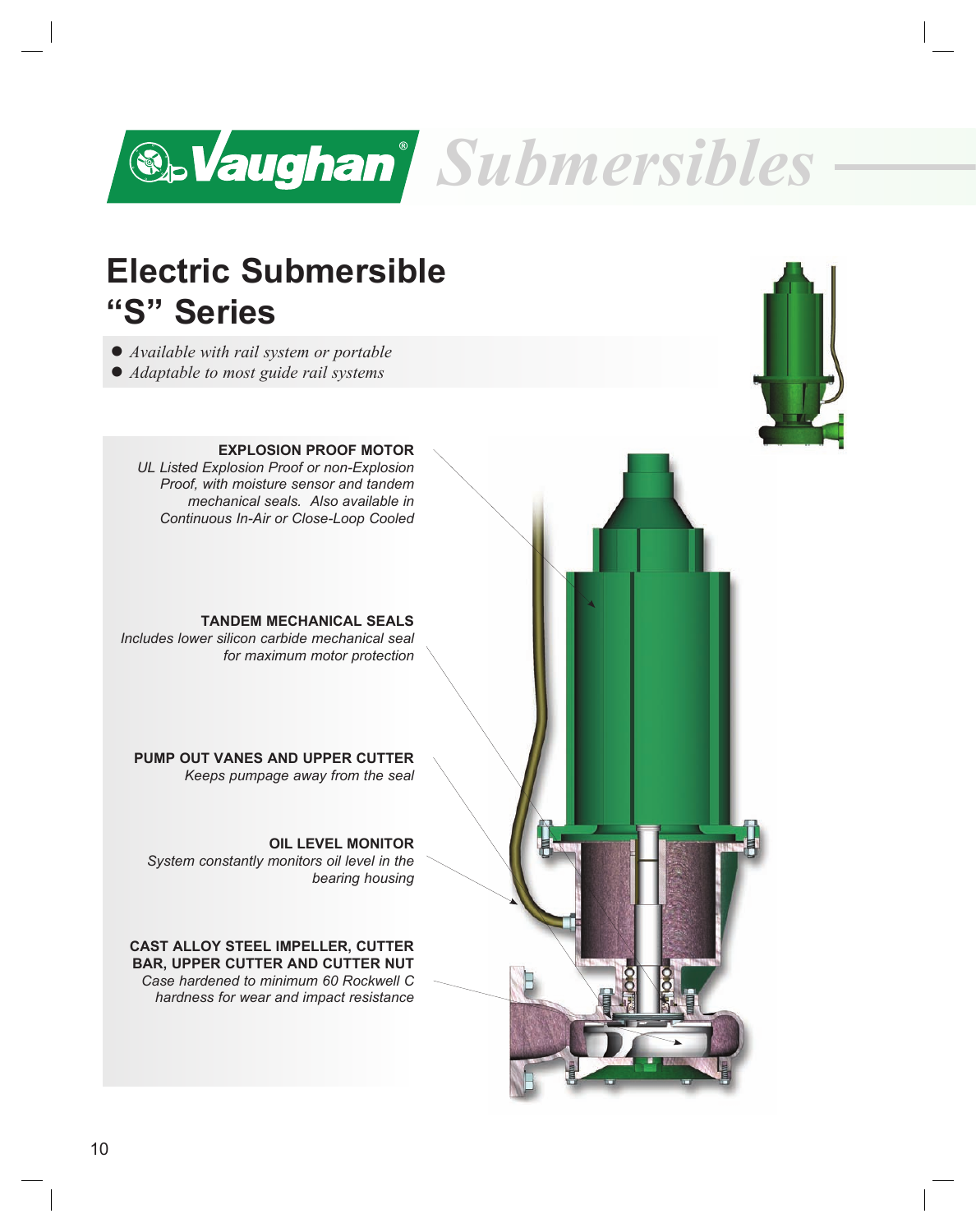

## **Electric Submersible "S" Series**

l *Available with rail system or portable*

• *Adaptable to most guide rail systems* 



**EXPLOSION PROOF MOTOR** *UL Listed Explosion Proof or non-Explosion Proof, with moisture sensor and tandem mechanical seals. Also available in Continuous In-Air or Close-Loop Cooled*

**TANDEM MECHANICAL SEALS** *Includes lower silicon carbide mechanical seal for maximum motor protection*

**PUMP OUT VANES AND UPPER CUTTER** *Keeps pumpage away from the seal*

**OIL LEVEL MONITOR** *System constantly monitors oil level in the bearing housing* 

**CAST ALLOY STEEL IMPELLER, CUTTER BAR, UPPER CUTTER AND CUTTER NUT** *Case hardened to minimum 60 Rockwell C hardness for wear and impact resistance*